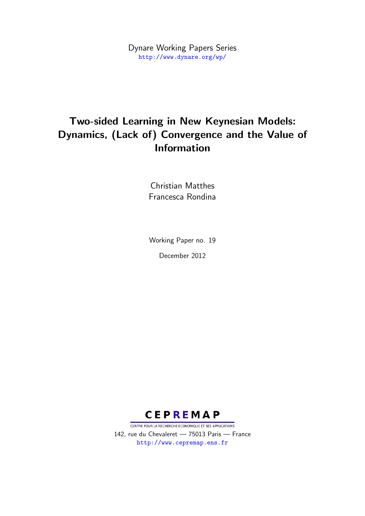Dynare Working Papers Series <http://www.dynare.org/wp/>

## Two-sided Learning in New Keynesian Models: Dynamics, (Lack of) Convergence and the Value of Information

Christian Matthes Francesca Rondina

Working Paper no. 19

December 2012



CENTRE POUR LA RECHERCHE ECONOMIQUE ET SES APPLICATIONS 142, rue du Chevaleret — 75013 Paris — France <http://www.cepremap.ens.fr>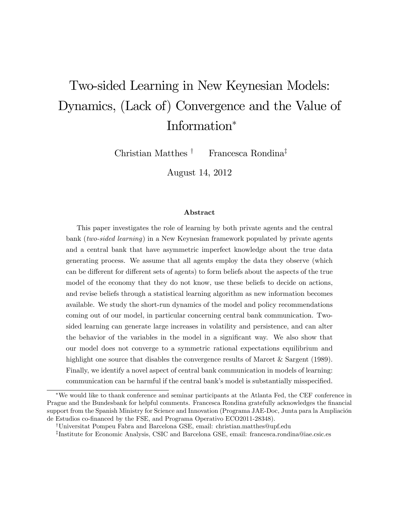# Two-sided Learning in New Keynesian Models: Dynamics, (Lack of) Convergence and the Value of Information

Christian Matthes  $\dagger$  Francesca Rondina<sup>‡</sup>

August 14, 2012

#### Abstract

This paper investigates the role of learning by both private agents and the central bank (two-sided learning) in a New Keynesian framework populated by private agents and a central bank that have asymmetric imperfect knowledge about the true data generating process. We assume that all agents employ the data they observe (which can be different for different sets of agents) to form beliefs about the aspects of the true model of the economy that they do not know, use these beliefs to decide on actions, and revise beliefs through a statistical learning algorithm as new information becomes available. We study the short-run dynamics of the model and policy recommendations coming out of our model, in particular concerning central bank communication. Twosided learning can generate large increases in volatility and persistence, and can alter the behavior of the variables in the model in a significant way. We also show that our model does not converge to a symmetric rational expectations equilibrium and highlight one source that disables the convergence results of Marcet & Sargent (1989). Finally, we identify a novel aspect of central bank communication in models of learning: communication can be harmful if the central bank's model is substantially misspecified.

We would like to thank conference and seminar participants at the Atlanta Fed, the CEF conference in Prague and the Bundesbank for helpful comments. Francesca Rondina gratefully acknowledges the financial support from the Spanish Ministry for Science and Innovation (Programa JAE-Doc, Junta para la Ampliación de Estudios co-Önanced by the FSE, and Programa Operativo ECO2011-28348).

<sup>y</sup>Universitat Pompeu Fabra and Barcelona GSE, email: christian.matthes@upf.edu

z Institute for Economic Analysis, CSIC and Barcelona GSE, email: francesca.rondina@iae.csic.es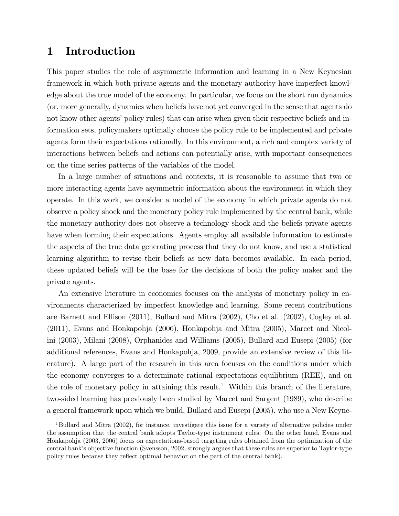## 1 Introduction

This paper studies the role of asymmetric information and learning in a New Keynesian framework in which both private agents and the monetary authority have imperfect knowledge about the true model of the economy. In particular, we focus on the short run dynamics (or, more generally, dynamics when beliefs have not yet converged in the sense that agents do not know other agents' policy rules) that can arise when given their respective beliefs and information sets, policymakers optimally choose the policy rule to be implemented and private agents form their expectations rationally. In this environment, a rich and complex variety of interactions between beliefs and actions can potentially arise, with important consequences on the time series patterns of the variables of the model.

In a large number of situations and contexts, it is reasonable to assume that two or more interacting agents have asymmetric information about the environment in which they operate. In this work, we consider a model of the economy in which private agents do not observe a policy shock and the monetary policy rule implemented by the central bank, while the monetary authority does not observe a technology shock and the beliefs private agents have when forming their expectations. Agents employ all available information to estimate the aspects of the true data generating process that they do not know, and use a statistical learning algorithm to revise their beliefs as new data becomes available. In each period, these updated beliefs will be the base for the decisions of both the policy maker and the private agents.

An extensive literature in economics focuses on the analysis of monetary policy in environments characterized by imperfect knowledge and learning. Some recent contributions are Barnett and Ellison (2011), Bullard and Mitra (2002), Cho et al. (2002), Cogley et al. (2011), Evans and Honkapohja (2006), Honkapohja and Mitra (2005), Marcet and Nicolini (2003), Milani (2008), Orphanides and Williams (2005), Bullard and Eusepi (2005) (for additional references, Evans and Honkapohja, 2009, provide an extensive review of this literature). A large part of the research in this area focuses on the conditions under which the economy converges to a determinate rational expectations equilibrium (REE), and on the role of monetary policy in attaining this result.<sup>1</sup> Within this branch of the literature, two-sided learning has previously been studied by Marcet and Sargent (1989), who describe a general framework upon which we build, Bullard and Eusepi (2005), who use a New Keyne-

<sup>&</sup>lt;sup>1</sup>Bullard and Mitra (2002), for instance, investigate this issue for a variety of alternative policies under the assumption that the central bank adopts Taylor-type instrument rules. On the other hand, Evans and Honkapohja (2003, 2006) focus on expectations-based targeting rules obtained from the optimization of the central bankís objective function (Svensson, 2002, strongly argues that these rules are superior to Taylor-type policy rules because they reflect optimal behavior on the part of the central bank).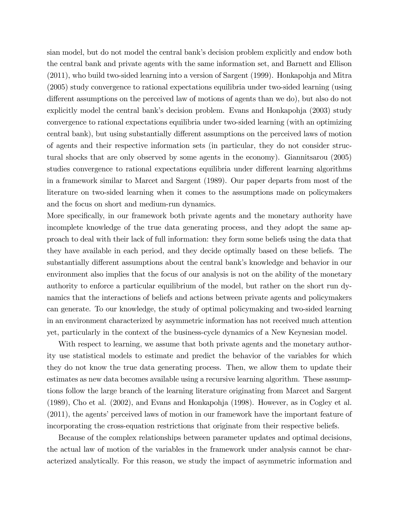sian model, but do not model the central bank's decision problem explicitly and endow both the central bank and private agents with the same information set, and Barnett and Ellison (2011), who build two-sided learning into a version of Sargent (1999). Honkapohja and Mitra (2005) study convergence to rational expectations equilibria under two-sided learning (using different assumptions on the perceived law of motions of agents than we do), but also do not explicitly model the central bank's decision problem. Evans and Honkapohja (2003) study convergence to rational expectations equilibria under two-sided learning (with an optimizing central bank), but using substantially different assumptions on the perceived laws of motion of agents and their respective information sets (in particular, they do not consider structural shocks that are only observed by some agents in the economy). Giannitsarou (2005) studies convergence to rational expectations equilibria under different learning algorithms in a framework similar to Marcet and Sargent (1989). Our paper departs from most of the literature on two-sided learning when it comes to the assumptions made on policymakers and the focus on short and medium-run dynamics.

More specifically, in our framework both private agents and the monetary authority have incomplete knowledge of the true data generating process, and they adopt the same approach to deal with their lack of full information: they form some beliefs using the data that they have available in each period, and they decide optimally based on these beliefs. The substantially different assumptions about the central bank's knowledge and behavior in our environment also implies that the focus of our analysis is not on the ability of the monetary authority to enforce a particular equilibrium of the model, but rather on the short run dynamics that the interactions of beliefs and actions between private agents and policymakers can generate. To our knowledge, the study of optimal policymaking and two-sided learning in an environment characterized by asymmetric information has not received much attention yet, particularly in the context of the business-cycle dynamics of a New Keynesian model.

With respect to learning, we assume that both private agents and the monetary authority use statistical models to estimate and predict the behavior of the variables for which they do not know the true data generating process. Then, we allow them to update their estimates as new data becomes available using a recursive learning algorithm. These assumptions follow the large branch of the learning literature originating from Marcet and Sargent (1989), Cho et al. (2002), and Evans and Honkapohja (1998). However, as in Cogley et al.  $(2011)$ , the agents' perceived laws of motion in our framework have the important feature of incorporating the cross-equation restrictions that originate from their respective beliefs.

Because of the complex relationships between parameter updates and optimal decisions, the actual law of motion of the variables in the framework under analysis cannot be characterized analytically. For this reason, we study the impact of asymmetric information and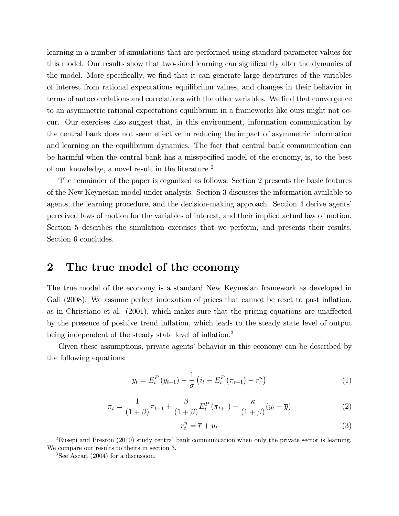learning in a number of simulations that are performed using standard parameter values for this model. Our results show that two-sided learning can significantly alter the dynamics of the model. More specifically, we find that it can generate large departures of the variables of interest from rational expectations equilibrium values, and changes in their behavior in terms of autocorrelations and correlations with the other variables. We Önd that convergence to an asymmetric rational expectations equilibrium in a frameworks like ours might not occur. Our exercises also suggest that, in this environment, information communication by the central bank does not seem effective in reducing the impact of asymmetric information and learning on the equilibrium dynamics. The fact that central bank communication can be harmful when the central bank has a misspecified model of the economy, is, to the best of our knowledge, a novel result in the literature <sup>2</sup>.

The remainder of the paper is organized as follows. Section 2 presents the basic features of the New Keynesian model under analysis. Section 3 discusses the information available to agents, the learning procedure, and the decision-making approach. Section 4 derive agents' perceived laws of motion for the variables of interest, and their implied actual law of motion. Section 5 describes the simulation exercises that we perform, and presents their results. Section 6 concludes.

## 2 The true model of the economy

The true model of the economy is a standard New Keynesian framework as developed in Gali (2008). We assume perfect indexation of prices that cannot be reset to past inflation, as in Christiano et al.  $(2001)$ , which makes sure that the pricing equations are unaffected by the presence of positive trend ináation, which leads to the steady state level of output being independent of the steady state level of inflation.<sup>3</sup>

Given these assumptions, private agents' behavior in this economy can be described by the following equations:

$$
y_{t} = E_{t}^{P} (y_{t+1}) - \frac{1}{\sigma} \left( i_{t} - E_{t}^{P} (\pi_{t+1}) - r_{t}^{n} \right)
$$
 (1)

$$
\pi_t = \frac{1}{(1+\beta)} \pi_{t-1} + \frac{\beta}{(1+\beta)} E_t^P \left(\pi_{t+1}\right) - \frac{\kappa}{(1+\beta)} (y_t - \overline{y}) \tag{2}
$$

$$
r_t^n = \overline{r} + u_t \tag{3}
$$

<sup>&</sup>lt;sup>2</sup>Eusepi and Preston (2010) study central bank communication when only the private sector is learning. We compare our results to theirs in section 3.

 $3$ See Ascari (2004) for a discussion.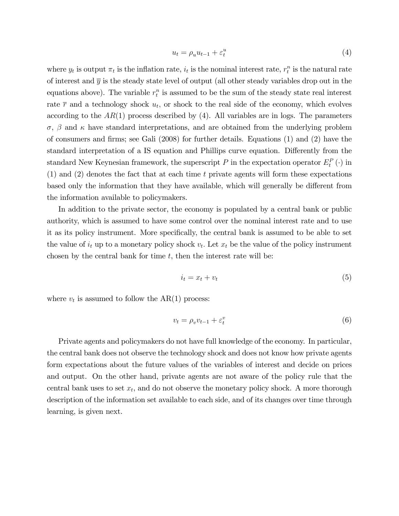$$
u_t = \rho_u u_{t-1} + \varepsilon_t^u \tag{4}
$$

where  $y_t$  is output  $\pi_t$  is the inflation rate,  $i_t$  is the nominal interest rate,  $r_t^n$  is the natural rate of interest and  $\bar{y}$  is the steady state level of output (all other steady variables drop out in the equations above). The variable  $r_t^n$  is assumed to be the sum of the steady state real interest rate  $\bar{r}$  and a technology shock  $u_t$ , or shock to the real side of the economy, which evolves according to the  $AR(1)$  process described by (4). All variables are in logs. The parameters  $\sigma$ ,  $\beta$  and  $\kappa$  have standard interpretations, and are obtained from the underlying problem of consumers and firms; see Gali  $(2008)$  for further details. Equations  $(1)$  and  $(2)$  have the standard interpretation of a IS equation and Phillips curve equation. Differently from the standard New Keynesian framework, the superscript  $P$  in the expectation operator  $E_t^P(\cdot)$  in (1) and (2) denotes the fact that at each time t private agents will form these expectations based only the information that they have available, which will generally be different from the information available to policymakers.

In addition to the private sector, the economy is populated by a central bank or public authority, which is assumed to have some control over the nominal interest rate and to use it as its policy instrument. More specifically, the central bank is assumed to be able to set the value of  $i_t$  up to a monetary policy shock  $v_t$ . Let  $x_t$  be the value of the policy instrument chosen by the central bank for time  $t$ , then the interest rate will be:

$$
i_t = x_t + v_t \tag{5}
$$

where  $v_t$  is assumed to follow the AR(1) process:

$$
v_t = \rho_v v_{t-1} + \varepsilon_t^v \tag{6}
$$

Private agents and policymakers do not have full knowledge of the economy. In particular, the central bank does not observe the technology shock and does not know how private agents form expectations about the future values of the variables of interest and decide on prices and output. On the other hand, private agents are not aware of the policy rule that the central bank uses to set  $x_t$ , and do not observe the monetary policy shock. A more thorough description of the information set available to each side, and of its changes over time through learning, is given next.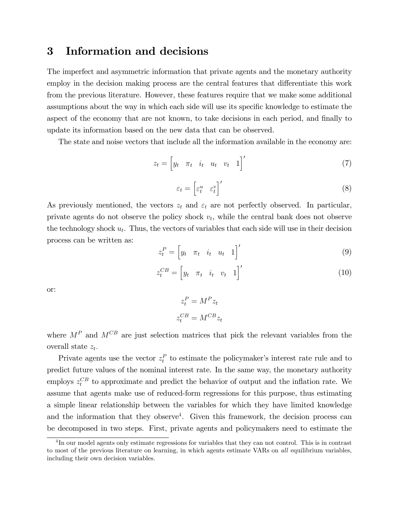## 3 Information and decisions

The imperfect and asymmetric information that private agents and the monetary authority employ in the decision making process are the central features that differentiate this work from the previous literature. However, these features require that we make some additional assumptions about the way in which each side will use its specific knowledge to estimate the aspect of the economy that are not known, to take decisions in each period, and finally to update its information based on the new data that can be observed.

The state and noise vectors that include all the information available in the economy are:

$$
z_t = \begin{bmatrix} y_t & \pi_t & i_t & u_t & v_t & 1 \end{bmatrix}' \tag{7}
$$

$$
\varepsilon_t = \begin{bmatrix} \varepsilon_t^u & \varepsilon_t^v \end{bmatrix}' \tag{8}
$$

As previously mentioned, the vectors  $z_t$  and  $\varepsilon_t$  are not perfectly observed. In particular, private agents do not observe the policy shock  $v_t$ , while the central bank does not observe the technology shock  $u_t$ . Thus, the vectors of variables that each side will use in their decision process can be written as:

$$
z_t^P = \begin{bmatrix} y_t & \pi_t & i_t & u_t & 1 \end{bmatrix}' \tag{9}
$$

$$
z_t^{CB} = \begin{bmatrix} y_t & \pi_t & i_t & v_t & 1 \end{bmatrix}' \tag{10}
$$

or:

$$
z_t^P = M^P z_t
$$

$$
z_t^{CB} = M^{CB} z_t
$$

where  $M^P$  and  $M^{CB}$  are just selection matrices that pick the relevant variables from the overall state  $z_t$ .

Private agents use the vector  $z_t^P$  to estimate the policymaker's interest rate rule and to predict future values of the nominal interest rate. In the same way, the monetary authority employs  $z_t^{CB}$  to approximate and predict the behavior of output and the inflation rate. We assume that agents make use of reduced-form regressions for this purpose, thus estimating a simple linear relationship between the variables for which they have limited knowledge and the information that they observe<sup>4</sup>. Given this framework, the decision process can be decomposed in two steps. First, private agents and policymakers need to estimate the

<sup>&</sup>lt;sup>4</sup>In our model agents only estimate regressions for variables that they can not control. This is in contrast to most of the previous literature on learning, in which agents estimate VARs on all equilibrium variables, including their own decision variables.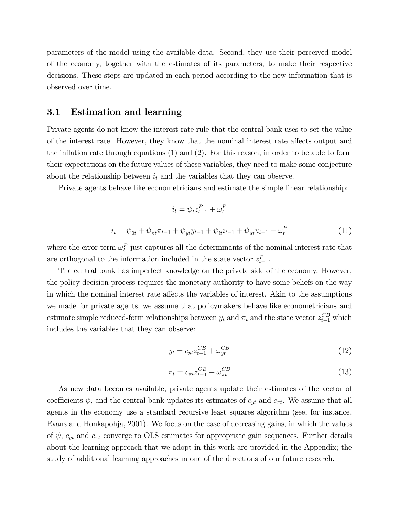parameters of the model using the available data. Second, they use their perceived model of the economy, together with the estimates of its parameters, to make their respective decisions. These steps are updated in each period according to the new information that is observed over time.

#### 3.1 Estimation and learning

Private agents do not know the interest rate rule that the central bank uses to set the value of the interest rate. However, they know that the nominal interest rate affects output and the inflation rate through equations  $(1)$  and  $(2)$ . For this reason, in order to be able to form their expectations on the future values of these variables, they need to make some conjecture about the relationship between  $i_t$  and the variables that they can observe.

Private agents behave like econometricians and estimate the simple linear relationship:

$$
i_t = \psi_t z_{t-1}^P + \omega_t^P
$$
  

$$
i_t = \psi_{0t} + \psi_{\pi t} \pi_{t-1} + \psi_{yt} y_{t-1} + \psi_{it} i_{t-1} + \psi_{ut} u_{t-1} + \omega_t^P
$$
 (11)

where the error term  $\omega_t^P$  just captures all the determinants of the nominal interest rate that are orthogonal to the information included in the state vector  $z_{t-1}^P$ .

The central bank has imperfect knowledge on the private side of the economy. However, the policy decision process requires the monetary authority to have some beliefs on the way in which the nominal interest rate affects the variables of interest. Akin to the assumptions we made for private agents, we assume that policymakers behave like econometricians and estimate simple reduced-form relationships between  $y_t$  and  $\pi_t$  and the state vector  $z_{t-1}^{CB}$  which includes the variables that they can observe:

$$
y_t = c_{yt}z_{t-1}^{CB} + \omega_{yt}^{CB}
$$
\n
$$
\tag{12}
$$

$$
\pi_t = c_{\pi t} z_{t-1}^{CB} + \omega_{\pi t}^{CB} \tag{13}
$$

As new data becomes available, private agents update their estimates of the vector of coefficients  $\psi$ , and the central bank updates its estimates of  $c_{yt}$  and  $c_{\pi t}$ . We assume that all agents in the economy use a standard recursive least squares algorithm (see, for instance, Evans and Honkapohja, 2001). We focus on the case of decreasing gains, in which the values of  $\psi$ ,  $c_{yt}$  and  $c_{\pi t}$  converge to OLS estimates for appropriate gain sequences. Further details about the learning approach that we adopt in this work are provided in the Appendix; the study of additional learning approaches in one of the directions of our future research.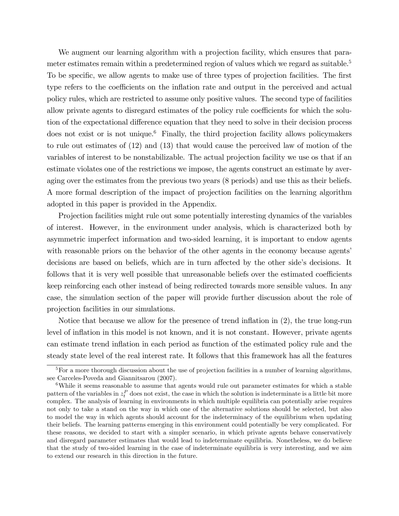We augment our learning algorithm with a projection facility, which ensures that parameter estimates remain within a predetermined region of values which we regard as suitable.<sup>5</sup> To be specific, we allow agents to make use of three types of projection facilities. The first type refers to the coefficients on the inflation rate and output in the perceived and actual policy rules, which are restricted to assume only positive values. The second type of facilities allow private agents to disregard estimates of the policy rule coefficients for which the solution of the expectational difference equation that they need to solve in their decision process does not exist or is not unique.<sup>6</sup> Finally, the third projection facility allows policymakers to rule out estimates of (12) and (13) that would cause the perceived law of motion of the variables of interest to be nonstabilizable. The actual projection facility we use os that if an estimate violates one of the restrictions we impose, the agents construct an estimate by averaging over the estimates from the previous two years (8 periods) and use this as their beliefs. A more formal description of the impact of projection facilities on the learning algorithm adopted in this paper is provided in the Appendix.

Projection facilities might rule out some potentially interesting dynamics of the variables of interest. However, in the environment under analysis, which is characterized both by asymmetric imperfect information and two-sided learning, it is important to endow agents with reasonable priors on the behavior of the other agents in the economy because agents' decisions are based on beliefs, which are in turn affected by the other side's decisions. It follows that it is very well possible that unreasonable beliefs over the estimated coefficients keep reinforcing each other instead of being redirected towards more sensible values. In any case, the simulation section of the paper will provide further discussion about the role of projection facilities in our simulations.

Notice that because we allow for the presence of trend inflation in (2), the true long-run level of inflation in this model is not known, and it is not constant. However, private agents can estimate trend ináation in each period as function of the estimated policy rule and the steady state level of the real interest rate. It follows that this framework has all the features

<sup>&</sup>lt;sup>5</sup>For a more thorough discussion about the use of projection facilities in a number of learning algorithms, see Carceles-Poveda and Giannitsarou (2007).

 $6$ While it seems reasonable to assume that agents would rule out parameter estimates for which a stable pattern of the variables in  $z_t^P$  does not exist, the case in which the solution is indeterminate is a little bit more complex. The analysis of learning in environments in which multiple equilibria can potentially arise requires not only to take a stand on the way in which one of the alternative solutions should be selected, but also to model the way in which agents should account for the indeterminacy of the equilibrium when updating their beliefs. The learning patterns emerging in this environment could potentially be very complicated. For these reasons, we decided to start with a simpler scenario, in which private agents behave conservatively and disregard parameter estimates that would lead to indeterminate equilibria. Nonetheless, we do believe that the study of two-sided learning in the case of indeterminate equilibria is very interesting, and we aim to extend our research in this direction in the future.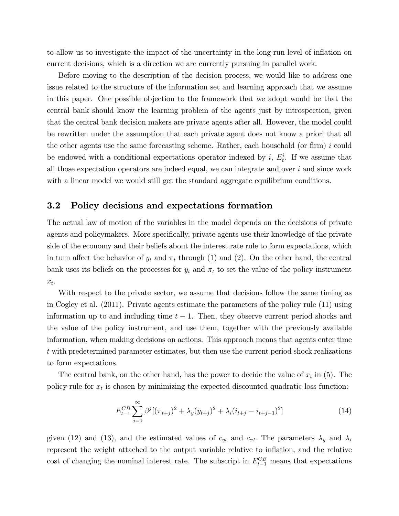to allow us to investigate the impact of the uncertainty in the long-run level of ináation on current decisions, which is a direction we are currently pursuing in parallel work.

Before moving to the description of the decision process, we would like to address one issue related to the structure of the information set and learning approach that we assume in this paper. One possible objection to the framework that we adopt would be that the central bank should know the learning problem of the agents just by introspection, given that the central bank decision makers are private agents after all. However, the model could be rewritten under the assumption that each private agent does not know a priori that all the other agents use the same forecasting scheme. Rather, each household (or firm)  $i$  could be endowed with a conditional expectations operator indexed by  $i, E_t^i$ . If we assume that all those expectation operators are indeed equal, we can integrate and over  $i$  and since work with a linear model we would still get the standard aggregate equilibrium conditions.

#### 3.2 Policy decisions and expectations formation

The actual law of motion of the variables in the model depends on the decisions of private agents and policymakers. More specifically, private agents use their knowledge of the private side of the economy and their beliefs about the interest rate rule to form expectations, which in turn affect the behavior of  $y_t$  and  $\pi_t$  through (1) and (2). On the other hand, the central bank uses its beliefs on the processes for  $y_t$  and  $\pi_t$  to set the value of the policy instrument  $x_t$ .

With respect to the private sector, we assume that decisions follow the same timing as in Cogley et al. (2011). Private agents estimate the parameters of the policy rule (11) using information up to and including time  $t - 1$ . Then, they observe current period shocks and the value of the policy instrument, and use them, together with the previously available information, when making decisions on actions. This approach means that agents enter time t with predetermined parameter estimates, but then use the current period shock realizations to form expectations.

The central bank, on the other hand, has the power to decide the value of  $x_t$  in (5). The policy rule for  $x_t$  is chosen by minimizing the expected discounted quadratic loss function:

$$
E_{t-1}^{CB} \sum_{j=0}^{\infty} \beta^j [(\pi_{t+j})^2 + \lambda_y (y_{t+j})^2 + \lambda_i (i_{t+j} - i_{t+j-1})^2]
$$
 (14)

given (12) and (13), and the estimated values of  $c_{yt}$  and  $c_{\pi t}$ . The parameters  $\lambda_y$  and  $\lambda_i$ represent the weight attached to the output variable relative to inflation, and the relative cost of changing the nominal interest rate. The subscript in  $E_{t-1}^{CB}$  means that expectations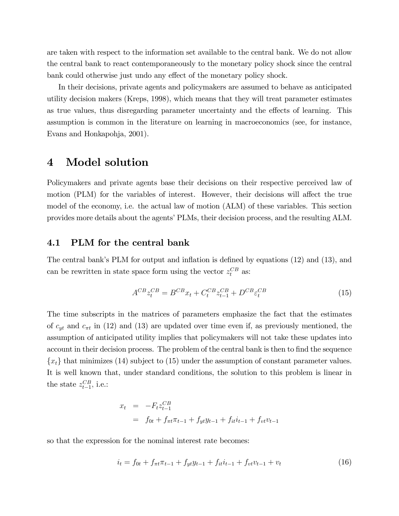are taken with respect to the information set available to the central bank. We do not allow the central bank to react contemporaneously to the monetary policy shock since the central bank could otherwise just undo any effect of the monetary policy shock.

In their decisions, private agents and policymakers are assumed to behave as anticipated utility decision makers (Kreps, 1998), which means that they will treat parameter estimates as true values, thus disregarding parameter uncertainty and the effects of learning. This assumption is common in the literature on learning in macroeconomics (see, for instance, Evans and Honkapohja, 2001).

### 4 Model solution

Policymakers and private agents base their decisions on their respective perceived law of motion (PLM) for the variables of interest. However, their decisions will affect the true model of the economy, i.e. the actual law of motion (ALM) of these variables. This section provides more details about the agents' PLMs, their decision process, and the resulting ALM.

#### 4.1 PLM for the central bank

The central bank's PLM for output and inflation is defined by equations  $(12)$  and  $(13)$ , and can be rewritten in state space form using the vector  $z_t^{CB}$  as:

$$
A^{CB} z_t^{CB} = B^{CB} x_t + C_t^{CB} z_{t-1}^{CB} + D^{CB} \varepsilon_t^{CB}
$$
 (15)

The time subscripts in the matrices of parameters emphasize the fact that the estimates of  $c_{yt}$  and  $c_{\pi t}$  in (12) and (13) are updated over time even if, as previously mentioned, the assumption of anticipated utility implies that policymakers will not take these updates into account in their decision process. The problem of the central bank is then to find the sequence  ${x_t}$  that minimizes (14) subject to (15) under the assumption of constant parameter values. It is well known that, under standard conditions, the solution to this problem is linear in the state  $z_{t-1}^{CB}$ , i.e.:

$$
x_t = -F_t z_{t-1}^{CB}
$$
  
=  $f_{0t} + f_{\pi t} \pi_{t-1} + f_{yt} y_{t-1} + f_{it} i_{t-1} + f_{vt} v_{t-1}$ 

so that the expression for the nominal interest rate becomes:

$$
i_t = f_{0t} + f_{\pi t} \pi_{t-1} + f_{yt} y_{t-1} + f_{it} i_{t-1} + f_{vt} v_{t-1} + v_t \tag{16}
$$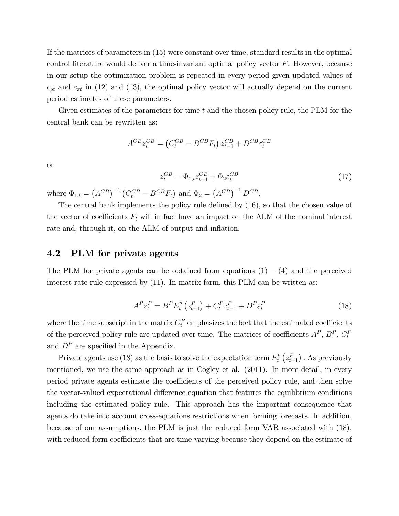If the matrices of parameters in (15) were constant over time, standard results in the optimal control literature would deliver a time-invariant optimal policy vector F. However, because in our setup the optimization problem is repeated in every period given updated values of  $c_{yt}$  and  $c_{\pi t}$  in (12) and (13), the optimal policy vector will actually depend on the current period estimates of these parameters.

Given estimates of the parameters for time  $t$  and the chosen policy rule, the PLM for the central bank can be rewritten as:

$$
A^{CB}z_t^{CB} = (C_t^{CB} - B^{CB}F_t) z_{t-1}^{CB} + D^{CB}\varepsilon_t^{CB}
$$

or

$$
z_t^{CB} = \Phi_{1,t} z_{t-1}^{CB} + \Phi_2 \varepsilon_t^{CB}
$$
\n
$$
\tag{17}
$$

where  $\Phi_{1,t} = (A^{CB})^{-1} (C_t^{CB} - B^{CB} F_t)$  and  $\Phi_2 = (A^{CB})^{-1} D^{CB}$ .

The central bank implements the policy rule defined by  $(16)$ , so that the chosen value of the vector of coefficients  $F_t$  will in fact have an impact on the ALM of the nominal interest rate and, through it, on the ALM of output and inflation.

#### 4.2 PLM for private agents

The PLM for private agents can be obtained from equations  $(1) - (4)$  and the perceived interest rate rule expressed by (11). In matrix form, this PLM can be written as:

$$
A^{P} z_{t}^{P} = B^{P} E_{t}^{p} \left( z_{t+1}^{P} \right) + C_{t}^{P} z_{t-1}^{P} + D^{P} \varepsilon_{t}^{P}
$$
\n
$$
\tag{18}
$$

where the time subscript in the matrix  $C_t^P$  emphasizes the fact that the estimated coefficients of the perceived policy rule are updated over time. The matrices of coefficients  $A^P$ ,  $B^P$ ,  $C_t^P$ and  $D^P$  are specified in the Appendix.

Private agents use (18) as the basis to solve the expectation term  $E_t^p$  $\int_t^p \left(z_{t+1}^P\right)$  . As previously mentioned, we use the same approach as in Cogley et al. (2011). In more detail, in every period private agents estimate the coefficients of the perceived policy rule, and then solve the vector-valued expectational difference equation that features the equilibrium conditions including the estimated policy rule. This approach has the important consequence that agents do take into account cross-equations restrictions when forming forecasts. In addition, because of our assumptions, the PLM is just the reduced form VAR associated with (18), with reduced form coefficients that are time-varying because they depend on the estimate of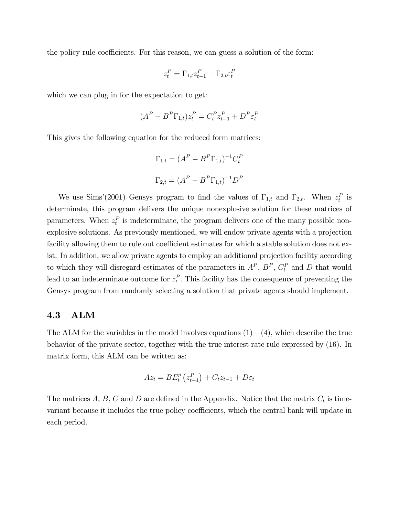the policy rule coefficients. For this reason, we can guess a solution of the form:

$$
z_t^P = \Gamma_{1,t} z_{t-1}^P + \Gamma_{2,t} \varepsilon_t^P
$$

which we can plug in for the expectation to get:

$$
(A^{P} - B^{P}\Gamma_{1,t})z_{t}^{P} = C_{t}^{P}z_{t-1}^{P} + D^{P}\varepsilon_{t}^{P}
$$

This gives the following equation for the reduced form matrices:

$$
\Gamma_{1,t} = (A^P - B^P \Gamma_{1,t})^{-1} C_t^P
$$
  

$$
\Gamma_{2,t} = (A^P - B^P \Gamma_{1,t})^{-1} D^P
$$

We use Sims'(2001) Gensys program to find the values of  $\Gamma_{1,t}$  and  $\Gamma_{2,t}$ . When  $z_t^P$  is determinate, this program delivers the unique nonexplosive solution for these matrices of parameters. When  $z_t^P$  is indeterminate, the program delivers one of the many possible nonexplosive solutions. As previously mentioned, we will endow private agents with a projection facility allowing them to rule out coefficient estimates for which a stable solution does not exist. In addition, we allow private agents to employ an additional projection facility according to which they will disregard estimates of the parameters in  $A^P$ ,  $B^P$ ,  $C_t^P$  and D that would lead to an indeterminate outcome for  $z_t^P$ . This facility has the consequence of preventing the Gensys program from randomly selecting a solution that private agents should implement.

#### 4.3 ALM

The ALM for the variables in the model involves equations  $(1)-(4)$ , which describe the true behavior of the private sector, together with the true interest rate rule expressed by (16). In matrix form, this ALM can be written as:

$$
Az_t = BE_t^p(z_{t+1}^P) + C_t z_{t-1} + D\varepsilon_t
$$

The matrices  $A, B, C$  and  $D$  are defined in the Appendix. Notice that the matrix  $C_t$  is timevariant because it includes the true policy coefficients, which the central bank will update in each period.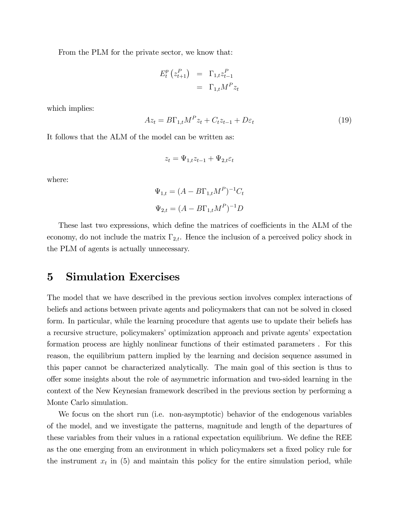From the PLM for the private sector, we know that:

$$
E_t^p(z_{t+1}^P) = \Gamma_{1,t} z_{t-1}^P
$$
  
=  $\Gamma_{1,t} M^P z_t$ 

which implies:

$$
Az_t = B\Gamma_{1,t}M^P z_t + C_t z_{t-1} + D\varepsilon_t \tag{19}
$$

It follows that the ALM of the model can be written as:

$$
z_t = \Psi_{1,t} z_{t-1} + \Psi_{2,t} \varepsilon_t
$$

where:

$$
\Psi_{1,t} = (A - B\Gamma_{1,t}M^P)^{-1}C_t
$$
  

$$
\Psi_{2,t} = (A - B\Gamma_{1,t}M^P)^{-1}D
$$

These last two expressions, which define the matrices of coefficients in the ALM of the economy, do not include the matrix  $\Gamma_{2,t}$ . Hence the inclusion of a perceived policy shock in the PLM of agents is actually unnecessary.

## 5 Simulation Exercises

The model that we have described in the previous section involves complex interactions of beliefs and actions between private agents and policymakers that can not be solved in closed form. In particular, while the learning procedure that agents use to update their beliefs has a recursive structure, policymakers' optimization approach and private agents' expectation formation process are highly nonlinear functions of their estimated parameters . For this reason, the equilibrium pattern implied by the learning and decision sequence assumed in this paper cannot be characterized analytically. The main goal of this section is thus to o§er some insights about the role of asymmetric information and two-sided learning in the context of the New Keynesian framework described in the previous section by performing a Monte Carlo simulation.

We focus on the short run (i.e. non-asymptotic) behavior of the endogenous variables of the model, and we investigate the patterns, magnitude and length of the departures of these variables from their values in a rational expectation equilibrium. We define the REE as the one emerging from an environment in which policymakers set a fixed policy rule for the instrument  $x_t$  in (5) and maintain this policy for the entire simulation period, while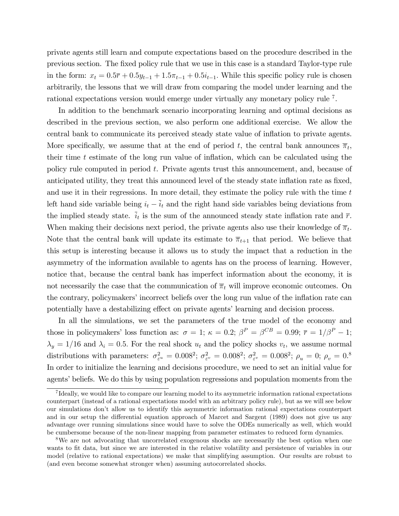private agents still learn and compute expectations based on the procedure described in the previous section. The Öxed policy rule that we use in this case is a standard Taylor-type rule in the form:  $x_t = 0.5\overline{r} + 0.5y_{t-1} + 1.5\pi_{t-1} + 0.5i_{t-1}$ . While this specific policy rule is chosen arbitrarily, the lessons that we will draw from comparing the model under learning and the rational expectations version would emerge under virtually any monetary policy rule <sup>7</sup> .

In addition to the benchmark scenario incorporating learning and optimal decisions as described in the previous section, we also perform one additional exercise. We allow the central bank to communicate its perceived steady state value of ináation to private agents. More specifically, we assume that at the end of period t, the central bank announces  $\overline{\pi}_t$ , their time  $t$  estimate of the long run value of inflation, which can be calculated using the policy rule computed in period t. Private agents trust this announcement, and, because of anticipated utility, they treat this announced level of the steady state inflation rate as fixed, and use it in their regressions. In more detail, they estimate the policy rule with the time t left hand side variable being  $i_t - \overline{i}_t$  and the right hand side variables being deviations from the implied steady state.  $\bar{i}_t$  is the sum of the announced steady state inflation rate and  $\bar{r}$ . When making their decisions next period, the private agents also use their knowledge of  $\overline{\pi}_t$ . Note that the central bank will update its estimate to  $\bar{\pi}_{t+1}$  that period. We believe that this setup is interesting because it allows us to study the impact that a reduction in the asymmetry of the information available to agents has on the process of learning. However, notice that, because the central bank has imperfect information about the economy, it is not necessarily the case that the communication of  $\overline{\pi}_t$  will improve economic outcomes. On the contrary, policymakers' incorrect beliefs over the long run value of the inflation rate can potentially have a destabilizing effect on private agents' learning and decision process.

In all the simulations, we set the parameters of the true model of the economy and those in policymakers' loss function as:  $\sigma = 1$ ;  $\kappa = 0.2$ ;  $\beta^P = \beta^{CB} = 0.99$ ;  $\bar{r} = 1/\beta^P - 1$ ;  $\lambda_y = 1/16$  and  $\lambda_i = 0.5$ . For the real shock  $u_t$  and the policy shocks  $v_t$ , we assume normal distributions with parameters:  $\sigma_{\varepsilon^u}^2 = 0.008^2$ ;  $\sigma_{\varepsilon^v}^2 = 0.008^2$ ;  $\sigma_{\varepsilon^v}^2 = 0.008^2$ ;  $\rho_u = 0$ ;  $\rho_v = 0.8$ In order to initialize the learning and decisions procedure, we need to set an initial value for agents' beliefs. We do this by using population regressions and population moments from the

<sup>&</sup>lt;sup>7</sup>Ideally, we would like to compare our learning model to its asymmetric information rational expectations counterpart (instead of a rational expectations model with an arbitrary policy rule), but as we will see below our simulations donít allow us to identify this asymmetric information rational expectations counterpart and in our setup the differential equation approach of Marcet and Sargent (1989) does not give us any advantage over running simulations since would have to solve the ODEs numerically as well, which would be cumbersome because of the non-linear mapping from parameter estimates to reduced form dynamics.

<sup>&</sup>lt;sup>8</sup>We are not advocating that uncorrelated exogenous shocks are necessarily the best option when one wants to fit data, but since we are interested in the relative volatility and persistence of variables in our model (relative to rational expectations) we make that simplifying assumption. Our results are robust to (and even become somewhat stronger when) assuming autocorrelated shocks.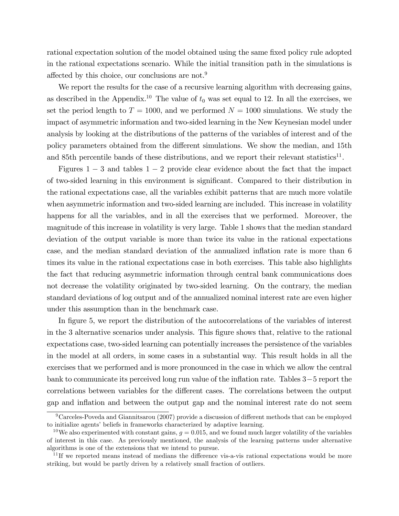rational expectation solution of the model obtained using the same fixed policy rule adopted in the rational expectations scenario. While the initial transition path in the simulations is affected by this choice, our conclusions are not.<sup>9</sup>

We report the results for the case of a recursive learning algorithm with decreasing gains, as described in the Appendix.<sup>10</sup> The value of  $t_0$  was set equal to 12. In all the exercises, we set the period length to  $T = 1000$ , and we performed  $N = 1000$  simulations. We study the impact of asymmetric information and two-sided learning in the New Keynesian model under analysis by looking at the distributions of the patterns of the variables of interest and of the policy parameters obtained from the different simulations. We show the median, and 15th and 85th percentile bands of these distributions, and we report their relevant statistics<sup>11</sup>.

Figures  $1-3$  and tables  $1-2$  provide clear evidence about the fact that the impact of two-sided learning in this environment is significant. Compared to their distribution in the rational expectations case, all the variables exhibit patterns that are much more volatile when asymmetric information and two-sided learning are included. This increase in volatility happens for all the variables, and in all the exercises that we performed. Moreover, the magnitude of this increase in volatility is very large. Table 1 shows that the median standard deviation of the output variable is more than twice its value in the rational expectations case, and the median standard deviation of the annualized inflation rate is more than 6 times its value in the rational expectations case in both exercises. This table also highlights the fact that reducing asymmetric information through central bank communications does not decrease the volatility originated by two-sided learning. On the contrary, the median standard deviations of log output and of the annualized nominal interest rate are even higher under this assumption than in the benchmark case.

In figure 5, we report the distribution of the autocorrelations of the variables of interest in the 3 alternative scenarios under analysis. This figure shows that, relative to the rational expectations case, two-sided learning can potentially increases the persistence of the variables in the model at all orders, in some cases in a substantial way. This result holds in all the exercises that we performed and is more pronounced in the case in which we allow the central bank to communicate its perceived long run value of the inflation rate. Tables  $3-5$  report the correlations between variables for the different cases. The correlations between the output gap and ináation and between the output gap and the nominal interest rate do not seem

 $9$ Carceles-Poveda and Giannitsarou (2007) provide a discussion of different methods that can be employed to initialize agents' beliefs in frameworks characterized by adaptive learning.

<sup>&</sup>lt;sup>10</sup>We also experimented with constant gains,  $g = 0.015$ , and we found much larger volatility of the variables of interest in this case. As previously mentioned, the analysis of the learning patterns under alternative algorithms is one of the extensions that we intend to pursue.

 $11$  If we reported means instead of medians the difference vis-a-vis rational expectations would be more striking, but would be partly driven by a relatively small fraction of outliers.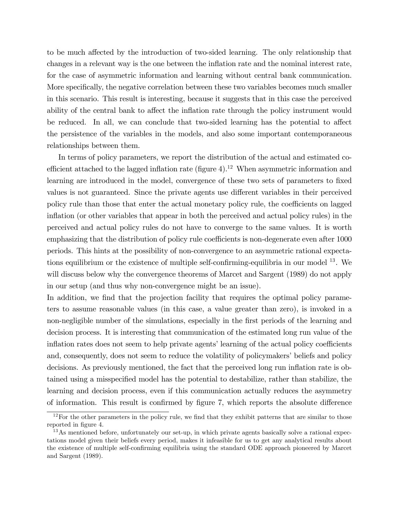to be much affected by the introduction of two-sided learning. The only relationship that changes in a relevant way is the one between the inflation rate and the nominal interest rate, for the case of asymmetric information and learning without central bank communication. More specifically, the negative correlation between these two variables becomes much smaller in this scenario. This result is interesting, because it suggests that in this case the perceived ability of the central bank to affect the inflation rate through the policy instrument would be reduced. In all, we can conclude that two-sided learning has the potential to affect the persistence of the variables in the models, and also some important contemporaneous relationships between them.

In terms of policy parameters, we report the distribution of the actual and estimated coefficient attached to the lagged inflation rate (figure  $4$ ).<sup>12</sup> When asymmetric information and learning are introduced in the model, convergence of these two sets of parameters to fixed values is not guaranteed. Since the private agents use different variables in their perceived policy rule than those that enter the actual monetary policy rule, the coefficients on lagged ináation (or other variables that appear in both the perceived and actual policy rules) in the perceived and actual policy rules do not have to converge to the same values. It is worth emphasizing that the distribution of policy rule coefficients is non-degenerate even after 1000 periods. This hints at the possibility of non-convergence to an asymmetric rational expectations equilibrium or the existence of multiple self-confirming-equilibria in our model  $^{13}$ . We will discuss below why the convergence theorems of Marcet and Sargent (1989) do not apply in our setup (and thus why non-convergence might be an issue).

In addition, we find that the projection facility that requires the optimal policy parameters to assume reasonable values (in this case, a value greater than zero), is invoked in a non-negligible number of the simulations, especially in the first periods of the learning and decision process. It is interesting that communication of the estimated long run value of the inflation rates does not seem to help private agents' learning of the actual policy coefficients and, consequently, does not seem to reduce the volatility of policymakers' beliefs and policy decisions. As previously mentioned, the fact that the perceived long run inflation rate is obtained using a misspecified model has the potential to destabilize, rather than stabilize, the learning and decision process, even if this communication actually reduces the asymmetry of information. This result is confirmed by figure 7, which reports the absolute difference

 $12$ For the other parameters in the policy rule, we find that they exhibit patterns that are similar to those reported in figure 4.

<sup>&</sup>lt;sup>13</sup>As mentioned before, unfortunately our set-up, in which private agents basically solve a rational expectations model given their beliefs every period, makes it infeasible for us to get any analytical results about the existence of multiple self-confirming equilibria using the standard ODE approach pioneered by Marcet and Sargent (1989).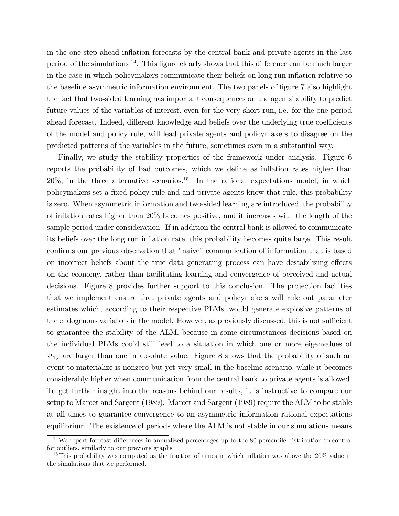in the one-step ahead inflation forecasts by the central bank and private agents in the last period of the simulations  $^{14}$ . This figure clearly shows that this difference can be much larger in the case in which policymakers communicate their beliefs on long run inflation relative to the baseline asymmetric information environment. The two panels of figure 7 also highlight the fact that two-sided learning has important consequences on the agents' ability to predict future values of the variables of interest, even for the very short run, i.e. for the one-period ahead forecast. Indeed, different knowledge and beliefs over the underlying true coefficients of the model and policy rule, will lead private agents and policymakers to disagree on the predicted patterns of the variables in the future, sometimes even in a substantial way.

Finally, we study the stability properties of the framework under analysis. Figure 6 reports the probability of bad outcomes, which we define as inflation rates higher than  $20\%$ , in the three alternative scenarios.<sup>15</sup> In the rational expectations model, in which policymakers set a Öxed policy rule and and private agents know that rule, this probability is zero. When asymmetric information and two-sided learning are introduced, the probability of inflation rates higher than  $20\%$  becomes positive, and it increases with the length of the sample period under consideration. If in addition the central bank is allowed to communicate its beliefs over the long run inflation rate, this probability becomes quite large. This result confirms our previous observation that "naive" communication of information that is based on incorrect beliefs about the true data generating process can have destabilizing effects on the economy, rather than facilitating learning and convergence of perceived and actual decisions. Figure 8 provides further support to this conclusion. The projection facilities that we implement ensure that private agents and policymakers will rule out parameter estimates which, according to their respective PLMs, would generate explosive patterns of the endogenous variables in the model. However, as previously discussed, this is not sufficient to guarantee the stability of the ALM, because in some circumstances decisions based on the individual PLMs could still lead to a situation in which one or more eigenvalues of  $\Psi_{1,t}$  are larger than one in absolute value. Figure 8 shows that the probability of such an event to materialize is nonzero but yet very small in the baseline scenario, while it becomes considerably higher when communication from the central bank to private agents is allowed. To get further insight into the reasons behind our results, it is instructive to compare our setup to Marcet and Sargent (1989). Marcet and Sargent (1989) require the ALM to be stable at all times to guarantee convergence to an asymmetric information rational expectations equilibrium. The existence of periods where the ALM is not stable in our simulations means

 $14$ We report forecast differences in annualized percentages up to the 80 percentile distribution to control for outliers, similarly to our previous graphs

<sup>&</sup>lt;sup>15</sup>This probability was computed as the fraction of times in which inflation was above the  $20\%$  value in the simulations that we performed.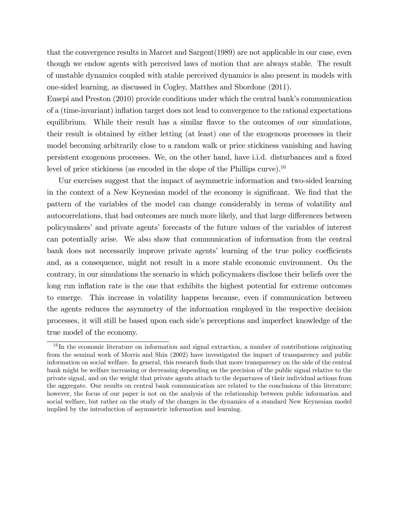that the convergence results in Marcet and Sargent(1989) are not applicable in our case, even though we endow agents with perceived laws of motion that are always stable. The result of unstable dynamics coupled with stable perceived dynamics is also present in models with one-sided learning, as discussed in Cogley, Matthes and Sbordone (2011).

Eusepi and Preston (2010) provide conditions under which the central bank's communication of a (time-invariant) inflation target does not lead to convergence to the rational expectations equilibrium. While their result has a similar flavor to the outcomes of our simulations, their result is obtained by either letting (at least) one of the exogenous processes in their model becoming arbitrarily close to a random walk or price stickiness vanishing and having persistent exogenous processes. We, on the other hand, have i.i.d. disturbances and a Öxed level of price stickiness (as encoded in the slope of the Phillips curve).<sup>16</sup>

Uur exercises suggest that the impact of asymmetric information and two-sided learning in the context of a New Keynesian model of the economy is significant. We find that the pattern of the variables of the model can change considerably in terms of volatility and autocorrelations, that bad outcomes are much more likely, and that large differences between policymakersíand private agentsí forecasts of the future values of the variables of interest can potentially arise. We also show that communication of information from the central bank does not necessarily improve private agents' learning of the true policy coefficients and, as a consequence, might not result in a more stable economic environment. On the contrary, in our simulations the scenario in which policymakers disclose their beliefs over the long run inflation rate is the one that exhibits the highest potential for extreme outcomes to emerge. This increase in volatility happens because, even if communication between the agents reduces the asymmetry of the information employed in the respective decision processes, it will still be based upon each side's perceptions and imperfect knowledge of the true model of the economy.

<sup>&</sup>lt;sup>16</sup>In the economic literature on information and signal extraction, a number of contributions originating from the seminal work of Morris and Shin (2002) have investigated the impact of transparency and public information on social welfare. In general, this research Önds that more transparency on the side of the central bank might be welfare increasing or decreasing depending on the precision of the public signal relative to the private signal, and on the weight that private agents attach to the departures of their individual actions from the aggregate. Our results on central bank communication are related to the conclusions of this literature; however, the focus of our paper is not on the analysis of the relationship between public information and social welfare, but rather on the study of the changes in the dynamics of a standard New Keynesian model implied by the introduction of asymmetric information and learning.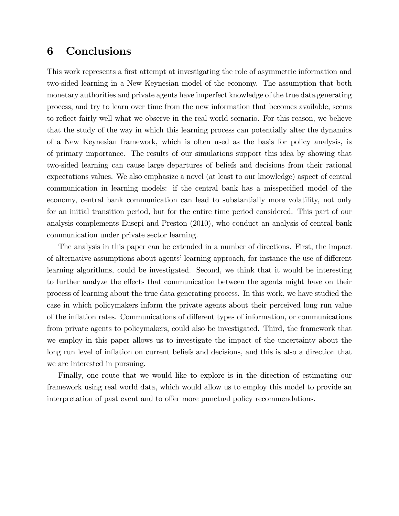## 6 Conclusions

This work represents a first attempt at investigating the role of asymmetric information and two-sided learning in a New Keynesian model of the economy. The assumption that both monetary authorities and private agents have imperfect knowledge of the true data generating process, and try to learn over time from the new information that becomes available, seems to reflect fairly well what we observe in the real world scenario. For this reason, we believe that the study of the way in which this learning process can potentially alter the dynamics of a New Keynesian framework, which is often used as the basis for policy analysis, is of primary importance. The results of our simulations support this idea by showing that two-sided learning can cause large departures of beliefs and decisions from their rational expectations values. We also emphasize a novel (at least to our knowledge) aspect of central communication in learning models: if the central bank has a misspecified model of the economy, central bank communication can lead to substantially more volatility, not only for an initial transition period, but for the entire time period considered. This part of our analysis complements Eusepi and Preston (2010), who conduct an analysis of central bank communication under private sector learning.

The analysis in this paper can be extended in a number of directions. First, the impact of alternative assumptions about agents' learning approach, for instance the use of different learning algorithms, could be investigated. Second, we think that it would be interesting to further analyze the effects that communication between the agents might have on their process of learning about the true data generating process. In this work, we have studied the case in which policymakers inform the private agents about their perceived long run value of the inflation rates. Communications of different types of information, or communications from private agents to policymakers, could also be investigated. Third, the framework that we employ in this paper allows us to investigate the impact of the uncertainty about the long run level of inflation on current beliefs and decisions, and this is also a direction that we are interested in pursuing.

Finally, one route that we would like to explore is in the direction of estimating our framework using real world data, which would allow us to employ this model to provide an interpretation of past event and to offer more punctual policy recommendations.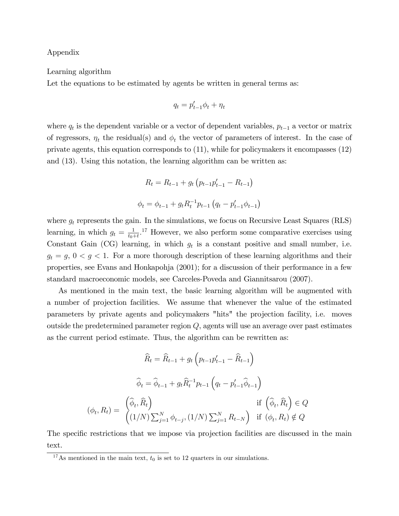#### Appendix

#### Learning algorithm

Let the equations to be estimated by agents be written in general terms as:

$$
q_t = p'_{t-1} \phi_t + \eta_t
$$

where  $q_t$  is the dependent variable or a vector of dependent variables,  $p_{t-1}$  a vector or matrix of regressors,  $\eta_t$  the residual(s) and  $\phi_t$  the vector of parameters of interest. In the case of private agents, this equation corresponds to (11), while for policymakers it encompasses (12) and (13). Using this notation, the learning algorithm can be written as:

$$
R_t = R_{t-1} + g_t (p_{t-1}p'_{t-1} - R_{t-1})
$$

$$
\phi_t = \phi_{t-1} + g_t R_t^{-1} p_{t-1} (q_t - p'_{t-1} \phi_{t-1})
$$

where  $g_t$  represents the gain. In the simulations, we focus on Recursive Least Squares (RLS) learning, in which  $g_t = \frac{1}{t_0}$  $\frac{1}{t_0+t}$ <sup>17</sup> However, we also perform some comparative exercises using Constant Gain (CG) learning, in which  $g_t$  is a constant positive and small number, i.e.  $g_t = g, 0 < g < 1$ . For a more thorough description of these learning algorithms and their properties, see Evans and Honkapohja (2001); for a discussion of their performance in a few standard macroeconomic models, see Carceles-Poveda and Giannitsarou (2007).

As mentioned in the main text, the basic learning algorithm will be augmented with a number of projection facilities. We assume that whenever the value of the estimated parameters by private agents and policymakers "hits" the projection facility, i.e. moves outside the predetermined parameter region  $Q$ , agents will use an average over past estimates as the current period estimate. Thus, the algorithm can be rewritten as:

$$
\widehat{R}_t = \widehat{R}_{t-1} + g_t \left( p_{t-1} p'_{t-1} - \widehat{R}_{t-1} \right)
$$
\n
$$
\widehat{\phi}_t = \widehat{\phi}_{t-1} + g_t \widehat{R}_t^{-1} p_{t-1} \left( q_t - p'_{t-1} \widehat{\phi}_{t-1} \right)
$$
\n
$$
(\phi_t, R_t) = \begin{pmatrix} \widehat{\phi}_t, \widehat{R}_t \\ (1/N) \sum_{j=1}^N \phi_{t-j}, (1/N) \sum_{j=1}^N R_{t-N} \end{pmatrix} \quad \text{if } \left( \widehat{\phi}_t, \widehat{R}_t \right) \in Q
$$

The specific restrictions that we impose via projection facilities are discussed in the main text.

<sup>&</sup>lt;sup>17</sup>As mentioned in the main text,  $t_0$  is set to 12 quarters in our simulations.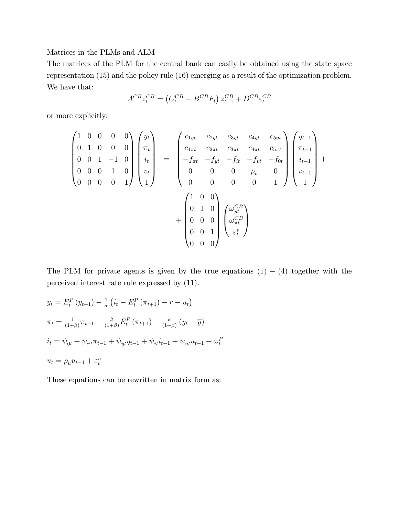#### Matrices in the PLMs and ALM

The matrices of the PLM for the central bank can easily be obtained using the state space representation (15) and the policy rule (16) emerging as a result of the optimization problem. We have that:

$$
A^{CB}z_t^{CB} = (C_t^{CB} - B^{CB}F_t) z_{t-1}^{CB} + D^{CB}\varepsilon_t^{CB}
$$

or more explicitly:

$$
\begin{pmatrix}\n1 & 0 & 0 & 0 & 0 \\
0 & 1 & 0 & 0 & 0 \\
0 & 0 & 1 & -1 & 0 \\
0 & 0 & 0 & 0 & 1\n\end{pmatrix}\n\begin{pmatrix}\ny_t \\
\pi_t \\
i_t \\
v_t \\
1\n\end{pmatrix} =\n\begin{pmatrix}\nc_{1yt} & c_{2yt} & c_{3yt} & c_{4yt} & c_{5yt} \\
c_{1\pi t} & c_{2\pi t} & c_{3\pi t} & c_{4\pi t} & c_{5\pi t} \\
-f_{\pi t} & -f_{yt} & -f_{it} & -f_{0t} & -f_{0t} \\
0 & 0 & 0 & 0 & \rho_v & 0 \\
0 & 0 & 0 & 0 & 1\n\end{pmatrix}\n\begin{pmatrix}\ny_{t-1} \\
i_{t-1} \\
i_{t-1} \\
1\n\end{pmatrix} +\n\begin{pmatrix}\n1 & 0 & 0 \\
0 & 1 & 0 \\
0 & 0 & 0 \\
0 & 0 & 1\n\end{pmatrix}\n\begin{pmatrix}\n\omega_{yt}^{CB} \\
\omega_{\pi t}^{CB} \\
\varepsilon_t^v\n\end{pmatrix}
$$

The PLM for private agents is given by the true equations  $(1) - (4)$  together with the perceived interest rate rule expressed by (11).

$$
y_t = E_t^P (y_{t+1}) - \frac{1}{\sigma} \left( i_t - E_t^P (\pi_{t+1}) - \overline{r} - u_t \right)
$$
  

$$
\pi_t = \frac{1}{(1+\beta)} \pi_{t-1} + \frac{\beta}{(1+\beta)} E_t^P (\pi_{t+1}) - \frac{\kappa}{(1+\beta)} (y_t - \overline{y})
$$
  

$$
i_t = \psi_{0t} + \psi_{\pi t} \pi_{t-1} + \psi_{yt} y_{t-1} + \psi_{it} i_{t-1} + \psi_{ut} u_{t-1} + \omega_t^P
$$
  

$$
u_t = \rho_u u_{t-1} + \varepsilon_t^u
$$

These equations can be rewritten in matrix form as: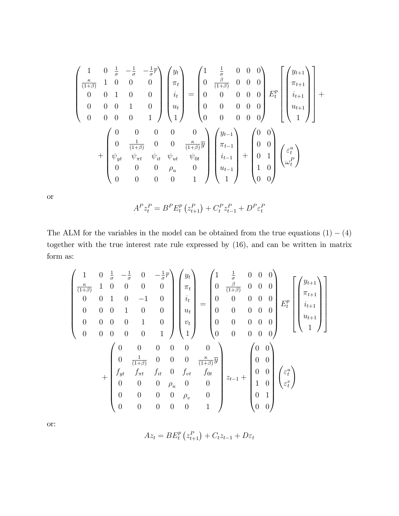$$
\begin{pmatrix}\n1 & 0 & \frac{1}{\sigma} & -\frac{1}{\sigma} & -\frac{1}{\sigma} \overline{r} \\
\frac{\kappa}{(1+\beta)} & 1 & 0 & 0 & 0 \\
0 & 0 & 1 & 0 & 0 \\
0 & 0 & 0 & 1 & 0 \\
0 & 0 & 0 & 0 & 1\n\end{pmatrix}\n\begin{pmatrix}\ny_t \\
\pi_t \\
i_t \\
u_t \\
1\n\end{pmatrix} = \n\begin{pmatrix}\n1 & \frac{1}{\sigma} & 0 & 0 & 0 \\
0 & \frac{\beta}{(1+\beta)} & 0 & 0 & 0 \\
0 & 0 & 0 & 0 & 0 \\
0 & 0 & 0 & 0 & 0 \\
0 & 0 & 0 & 0 & 0\n\end{pmatrix}\n\begin{pmatrix}\ny_{t+1} \\
x_{t+1} \\
u_{t+1} \\
u_{t+1} \\
1\n\end{pmatrix} + \n\begin{pmatrix}\n0 & 0 & 0 & 0 & 0 \\
0 & \frac{1}{(1+\beta)} & 0 & 0 & \frac{\kappa}{(1+\beta)}\overline{y} \\
\psi_{yt} & \psi_{\pi t} & \psi_{ut} & \psi_{0t} \\
0 & 0 & 0 & \rho_{u} & 0 \\
0 & 0 & 0 & 0 & 1\n\end{pmatrix}\n\begin{pmatrix}\ny_{t-1} \\
\pi_{t-1} \\
i_{t-1} \\
i_{t-1} \\
1\n\end{pmatrix} + \n\begin{pmatrix}\n0 & 0 \\
0 & 0 \\
0 & 1 \\
0 & 1 \\
0 & 0\n\end{pmatrix}\n\begin{pmatrix}\n\varepsilon_t^u \\
\varepsilon_t^t \\
\omega_t^P \\
\omega_t^P\n\end{pmatrix}
$$

or

$$
A^{P}z_{t}^{P} = B^{P}E_{t}^{P}(z_{t+1}^{P}) + C_{t}^{P}z_{t-1}^{P} + D^{P}\varepsilon_{t}^{P}
$$

The ALM for the variables in the model can be obtained from the true equations  $(1) - (4)$ together with the true interest rate rule expressed by (16), and can be written in matrix form as:

$$
\begin{pmatrix}\n1 & 0 & \frac{1}{\sigma} & -\frac{1}{\sigma} & 0 & -\frac{1}{\sigma} \overline{r} \\
\frac{\kappa}{(1+\beta)} & 1 & 0 & 0 & 0 & 0 \\
0 & 0 & 1 & 0 & -1 & 0 \\
0 & 0 & 0 & 1 & 0 & 0 \\
0 & 0 & 0 & 0 & 1 & 0 \\
0 & 0 & 0 & 0 & 0 & 1\n\end{pmatrix}\n\begin{pmatrix}\ny_t \\
\pi_t \\
i_t \\
u_t \\
v_t \\
1\n\end{pmatrix} =\n\begin{pmatrix}\n1 & \frac{1}{\sigma} & 0 & 0 & 0 \\
0 & \frac{\beta}{(1+\beta)} & 0 & 0 & 0 \\
0 & 0 & 0 & 0 & 0 \\
0 & 0 & 0 & 0 & 0 \\
0 & 0 & 0 & 0 & 0 \\
0 & 0 & 0 & 0 & 0\n\end{pmatrix}\n\begin{pmatrix}\ny_{t+1} \\
\pi_{t+1} \\
i_{t+1} \\
0 \\
1\n\end{pmatrix} \\
\begin{pmatrix}\n\frac{\kappa}{(1+\beta)} & 0 & 0 & 0 \\
0 & 0 & 0 & 0 & 0 \\
0 & 0 & 0 & 0 & 0 \\
0 & 0 & 0 & 0 & 0\n\end{pmatrix} =\n\begin{pmatrix}\n0 & 0 \\
0 & 0 \\
0 & 0 \\
0 & 0 \\
1\n\end{pmatrix}
$$

or:

$$
Az_{t}=BE_{t}^{p}\left(z_{t+1}^{P}\right)+C_{t}z_{t-1}+D\varepsilon_{t}
$$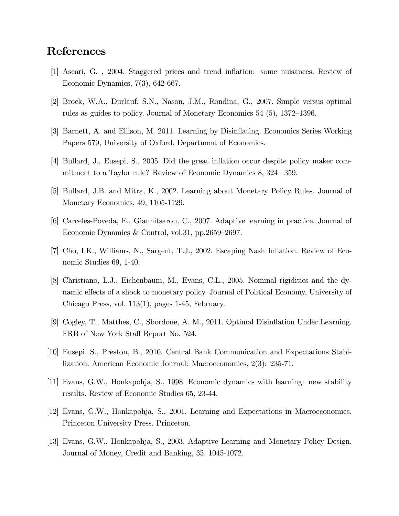## References

- [1] Ascari, G. , 2004. Staggered prices and trend ináation: some nuisances. Review of Economic Dynamics, 7(3), 642-667.
- [2] Brock, W.A., Durlauf, S.N., Nason, J.M., Rondina, G., 2007. Simple versus optimal rules as guides to policy. Journal of Monetary Economics  $54$  (5),  $1372-1396$ .
- [3] Barnett, A. and Ellison, M. 2011. Learning by Disináating. Economics Series Working Papers 579, University of Oxford, Department of Economics.
- [4] Bullard, J., Eusepi, S., 2005. Did the great ináation occur despite policy maker commitment to a Taylor rule? Review of Economic Dynamics  $8, 324-359$ .
- [5] Bullard, J.B. and Mitra, K., 2002. Learning about Monetary Policy Rules. Journal of Monetary Economics, 49, 1105-1129.
- [6] Carceles-Poveda, E., Giannitsarou, C., 2007. Adaptive learning in practice. Journal of Economic Dynamics & Control, vol.31, pp.2659-2697.
- [7] Cho, I.K., Williams, N., Sargent, T.J., 2002. Escaping Nash Ináation. Review of Economic Studies 69, 1-40.
- [8] Christiano, L.J., Eichenbaum, M., Evans, C.L., 2005. Nominal rigidities and the dynamic effects of a shock to monetary policy. Journal of Political Economy, University of Chicago Press, vol. 113(1), pages 1-45, February.
- [9] Cogley, T., Matthes, C., Sbordone, A. M., 2011. Optimal Disináation Under Learning. FRB of New York Staff Report No. 524.
- [10] Eusepi, S., Preston, B., 2010. Central Bank Communication and Expectations Stabilization. American Economic Journal: Macroeconomics, 2(3): 235-71.
- [11] Evans, G.W., Honkapohja, S., 1998. Economic dynamics with learning: new stability results. Review of Economic Studies 65, 23-44.
- [12] Evans, G.W., Honkapohja, S., 2001. Learning and Expectations in Macroeconomics. Princeton University Press, Princeton.
- [13] Evans, G.W., Honkapohja, S., 2003. Adaptive Learning and Monetary Policy Design. Journal of Money, Credit and Banking, 35, 1045-1072.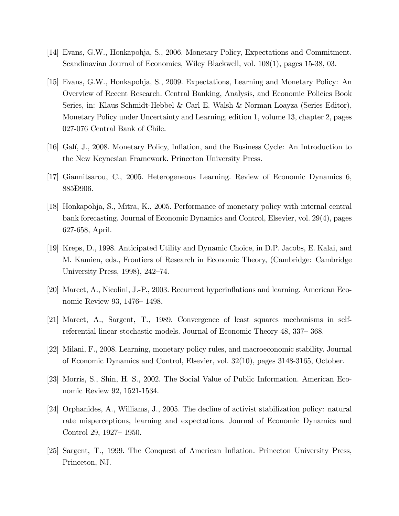- [14] Evans, G.W., Honkapohja, S., 2006. Monetary Policy, Expectations and Commitment. Scandinavian Journal of Economics, Wiley Blackwell, vol. 108(1), pages 15-38, 03.
- [15] Evans, G.W., Honkapohja, S., 2009. Expectations, Learning and Monetary Policy: An Overview of Recent Research. Central Banking, Analysis, and Economic Policies Book Series, in: Klaus Schmidt-Hebbel & Carl E. Walsh & Norman Loayza (Series Editor), Monetary Policy under Uncertainty and Learning, edition 1, volume 13, chapter 2, pages 027-076 Central Bank of Chile.
- [16] Galí, J., 2008. Monetary Policy, Inflation, and the Business Cycle: An Introduction to the New Keynesian Framework. Princeton University Press.
- [17] Giannitsarou, C., 2005. Heterogeneous Learning. Review of Economic Dynamics 6, 885<del>D</del>906.
- [18] Honkapohja, S., Mitra, K., 2005. Performance of monetary policy with internal central bank forecasting. Journal of Economic Dynamics and Control, Elsevier, vol. 29(4), pages 627-658, April.
- [19] Kreps, D., 1998. Anticipated Utility and Dynamic Choice, in D.P. Jacobs, E. Kalai, and M. Kamien, eds., Frontiers of Research in Economic Theory, (Cambridge: Cambridge University Press, 1998), 242–74.
- [20] Marcet, A., Nicolini, J.-P., 2003. Recurrent hyperináations and learning. American Economic Review 93, 1476 – 1498.
- [21] Marcet, A., Sargent, T., 1989. Convergence of least squares mechanisms in selfreferential linear stochastic models. Journal of Economic Theory 48, 337–368.
- [22] Milani, F., 2008. Learning, monetary policy rules, and macroeconomic stability. Journal of Economic Dynamics and Control, Elsevier, vol. 32(10), pages 3148-3165, October.
- [23] Morris, S., Shin, H. S., 2002. The Social Value of Public Information. American Economic Review 92, 1521-1534.
- [24] Orphanides, A., Williams, J., 2005. The decline of activist stabilization policy: natural rate misperceptions, learning and expectations. Journal of Economic Dynamics and Control 29, 1927 – 1950.
- [25] Sargent, T., 1999. The Conquest of American Inflation. Princeton University Press, Princeton, NJ.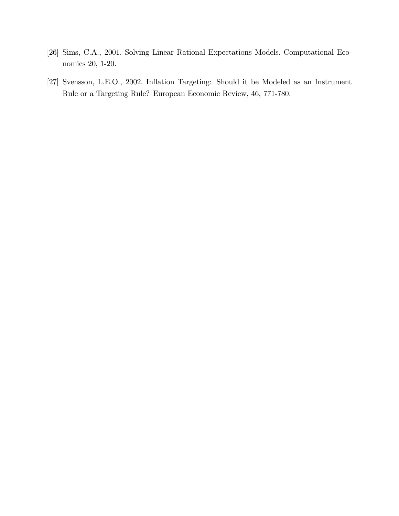- [26] Sims, C.A., 2001. Solving Linear Rational Expectations Models. Computational Economics 20, 1-20.
- [27] Svensson, L.E.O., 2002. Inflation Targeting: Should it be Modeled as an Instrument Rule or a Targeting Rule? European Economic Review, 46, 771-780.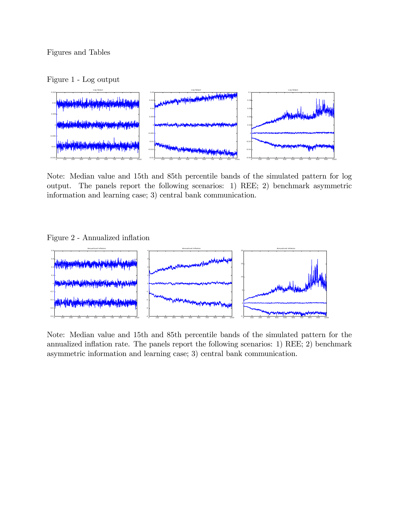Figure 1 - Log output



Note: Median value and 15th and 85th percentile bands of the simulated pattern for log output. The panels report the following scenarios: 1) REE; 2) benchmark asymmetric information and learning case; 3) central bank communication.

#### Figure 2 - Annualized inflation



Note: Median value and 15th and 85th percentile bands of the simulated pattern for the annualized inflation rate. The panels report the following scenarios: 1) REE; 2) benchmark asymmetric information and learning case; 3) central bank communication.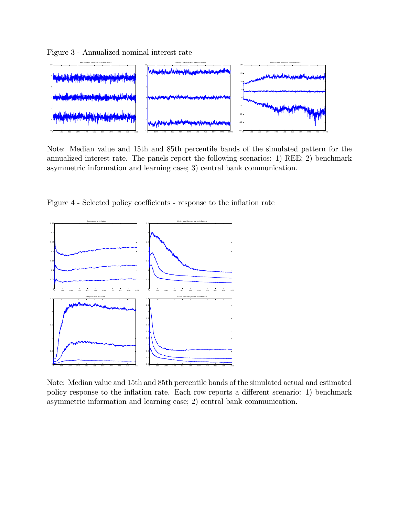Figure 3 - Annualized nominal interest rate



Note: Median value and 15th and 85th percentile bands of the simulated pattern for the annualized interest rate. The panels report the following scenarios: 1) REE; 2) benchmark asymmetric information and learning case; 3) central bank communication.

Figure 4 - Selected policy coefficients - response to the inflation rate



Note: Median value and 15th and 85th percentile bands of the simulated actual and estimated policy response to the inflation rate. Each row reports a different scenario: 1) benchmark asymmetric information and learning case; 2) central bank communication.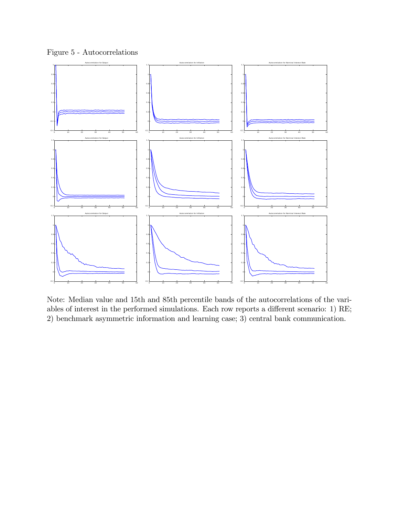

Note: Median value and 15th and 85th percentile bands of the autocorrelations of the variables of interest in the performed simulations. Each row reports a different scenario: 1) RE; 2) benchmark asymmetric information and learning case; 3) central bank communication.

#### Figure 5 - Autocorrelations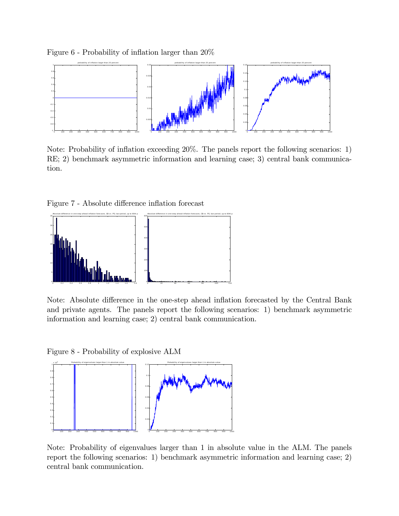Figure  $6$  - Probability of inflation larger than  $20\%$ 



Note: Probability of inflation exceeding  $20\%$ . The panels report the following scenarios: 1) RE; 2) benchmark asymmetric information and learning case; 3) central bank communication.

Figure 7 - Absolute difference inflation forecast



Note: Absolute difference in the one-step ahead inflation forecasted by the Central Bank and private agents. The panels report the following scenarios: 1) benchmark asymmetric information and learning case; 2) central bank communication.

Figure 8 - Probability of explosive ALM



Note: Probability of eigenvalues larger than 1 in absolute value in the ALM. The panels report the following scenarios: 1) benchmark asymmetric information and learning case; 2) central bank communication.